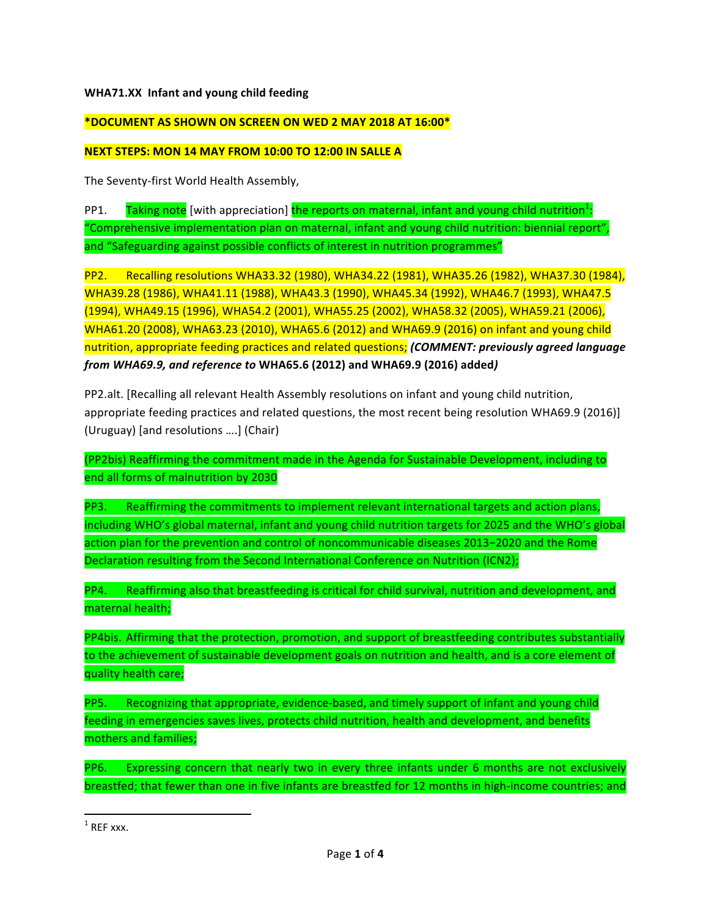## **WHA71.XX Infant and young child feeding**

## **\*DOCUMENT AS SHOWN ON SCREEN ON WED 2 MAY 2018 AT 16:00\***

## **NEXT STEPS: MON 14 MAY FROM 10:00 TO 12:00 IN SALLE A**

The Seventy-first World Health Assembly,

PP1. Taking note [with appreciation] the reports on maternal, infant and young child nutrition<sup>1</sup>: "Comprehensive implementation plan on maternal, infant and young child nutrition: biennial report", and "Safeguarding against possible conflicts of interest in nutrition programmes"

PP2. Recalling resolutions WHA33.32 (1980), WHA34.22 (1981), WHA35.26 (1982), WHA37.30 (1984), WHA39.28 (1986), WHA41.11 (1988), WHA43.3 (1990), WHA45.34 (1992), WHA46.7 (1993), WHA47.5 (1994), WHA49.15 (1996), WHA54.2 (2001), WHA55.25 (2002), WHA58.32 (2005), WHA59.21 (2006), WHA61.20 (2008), WHA63.23 (2010), WHA65.6 (2012) and WHA69.9 (2016) on infant and young child nutrition, appropriate feeding practices and related questions; *(COMMENT: previously ggreed language from WHA69.9, and reference to* **WHA65.6 (2012) and WHA69.9 (2016) added***)*

PP2.alt. [Recalling all relevant Health Assembly resolutions on infant and young child nutrition, appropriate feeding practices and related questions, the most recent being resolution WHA69.9 (2016)] (Uruguay) [and resolutions ….] (Chair)

(PP2bis) Reaffirming the commitment made in the Agenda for Sustainable Development, including to end all forms of malnutrition by 2030

PP3. Reaffirming the commitments to implement relevant international targets and action plans, including WHO's global maternal, infant and young child nutrition targets for 2025 and the WHO's global action plan for the prevention and control of noncommunicable diseases 2013-2020 and the Rome Declaration resulting from the Second International Conference on Nutrition (ICN2);

PP4. Reaffirming also that breastfeeding is critical for child survival, nutrition and development, and maternal health;

PP4bis. Affirming that the protection, promotion, and support of breastfeeding contributes substantially to the achievement of sustainable development goals on nutrition and health, and is a core element of quality health care;

PP5. Recognizing that appropriate, evidence-based, and timely support of infant and young child feeding in emergencies saves lives, protects child nutrition, health and development, and benefits mothers and families;

PP6. Expressing concern that nearly two in every three infants under 6 months are not exclusively breastfed; that fewer than one in five infants are breastfed for 12 months in high-income countries; and

 $1$  RFF xxx.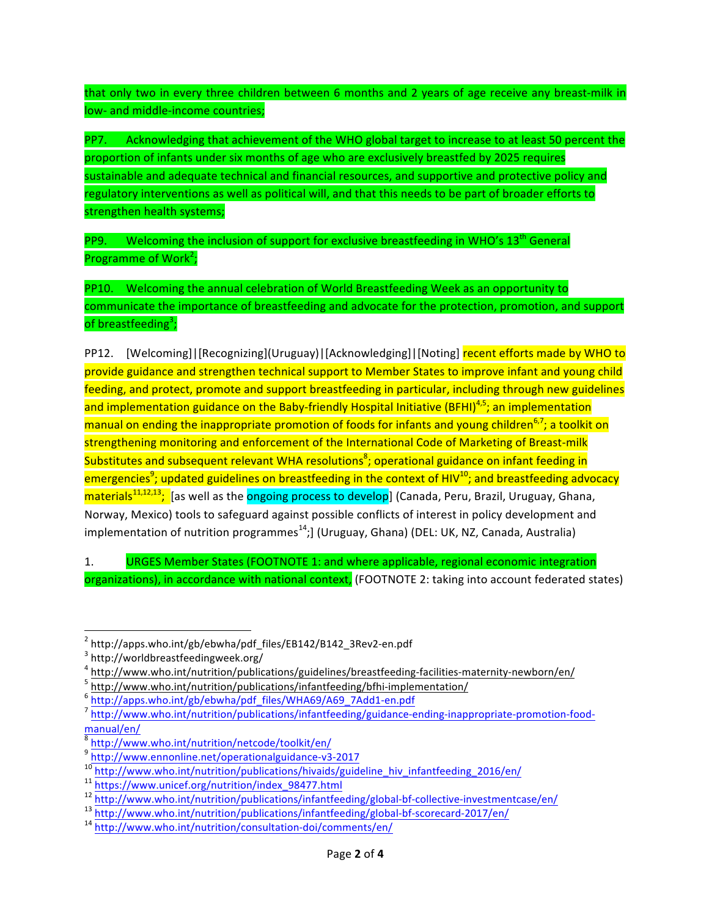that only two in every three children between 6 months and 2 years of age receive any breast-milk in low- and middle-income countries;

PP7. Acknowledging that achievement of the WHO global target to increase to at least 50 percent the proportion of infants under six months of age who are exclusively breastfed by 2025 requires sustainable and adequate technical and financial resources, and supportive and protective policy and regulatory interventions as well as political will, and that this needs to be part of broader efforts to strengthen health systems;

PP9. Welcoming the inclusion of support for exclusive breastfeeding in WHO's  $13<sup>th</sup>$  General Programme of Work<sup>2</sup>;

PP10. Welcoming the annual celebration of World Breastfeeding Week as an opportunity to communicate the importance of breastfeeding and advocate for the protection, promotion, and support of breastfeeding<sup>3</sup>;

PP12. [Welcoming]|[Recognizing](Uruguay)|[Acknowledging]|[Noting] recent efforts made by WHO to provide guidance and strengthen technical support to Member States to improve infant and young child feeding, and protect, promote and support breastfeeding in particular, including through new guidelines and implementation guidance on the Baby-friendly Hospital Initiative (BFHI)<sup>4,5</sup>; an implementation manual on ending the inappropriate promotion of foods for infants and young children<sup>6,7</sup>; a toolkit on strengthening monitoring and enforcement of the International Code of Marketing of Breast-milk Substitutes and subsequent relevant WHA resolutions<sup>8</sup>; operational guidance on infant feeding in emergencies<sup>9</sup>; updated guidelines on breastfeeding in the context of HIV<sup>10</sup>; and breastfeeding advocacy materials<sup>11,12,13</sup>; [as well as the <mark>ongoing process to develop</mark>] (Canada, Peru, Brazil, Uruguay, Ghana, Norway, Mexico) tools to safeguard against possible conflicts of interest in policy development and implementation of nutrition programmes<sup>14</sup>;] (Uruguay, Ghana) (DEL: UK, NZ, Canada, Australia)

1. URGES Member States (FOOTNOTE 1: and where applicable, regional economic integration organizations), in accordance with national context, (FOOTNOTE 2: taking into account federated states)

 

 $^2$  http://apps.who.int/gb/ebwha/pdf\_files/EB142/B142\_3Rev2-en.pdf<br> $^3$  http://worldbreastfeedingweek.org/

 $\frac{4 \text{ http://www.who.int/nutrition/publications/guidelines/breast feeding-facilities-maternity-newborn/en/">\frac{5 \text{ http://www.who.int/nutrition/publications/infantfeeding/bfhi-implementation/\frac{5 \text{http://www.who.int/nutrition/publications/infantfeeding/bfhi-implementation/\frac{5 \text{http://apps.who.int/gb/ebwha/pdf files/WHAG9/A69_7Add1-en.pdf}}{5 \text{http://apps.who.int/gb/ebwha/pdf files/WHAG9/A69_7Add1-en.pdf}}$ 

manual/en/

 $\frac{8}{9}$  http://www.who.int/nutrition/netcode/toolkit/en/<br> $\frac{9}{9}$  http://www.ennonline.net/operationalguidance-v3-2017

<sup>&</sup>lt;sup>10</sup><br>http://www.who.int/nutrition/publications/hivaids/guideline\_hiv\_infantfeeding\_2016/en/<br><sup>11</sup> https://www.unicef.org/nutrition/index\_98477.html<br><sup>12</sup> http://www.who.int/nutrition/publications/infantfeeding/global-bf-coll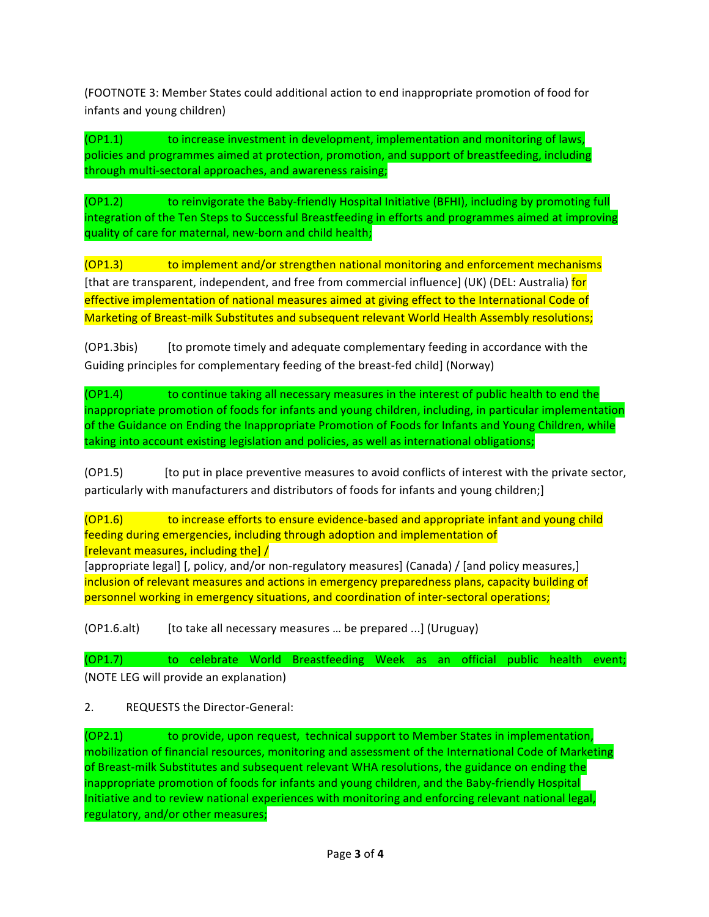(FOOTNOTE 3: Member States could additional action to end inappropriate promotion of food for infants and young children)

(OP1.1) to increase investment in development, implementation and monitoring of laws, policies and programmes aimed at protection, promotion, and support of breastfeeding, including through multi-sectoral approaches, and awareness raising;

(OP1.2) to reinvigorate the Baby-friendly Hospital Initiative (BFHI), including by promoting full integration of the Ten Steps to Successful Breastfeeding in efforts and programmes aimed at improving quality of care for maternal, new-born and child health;

(OP1.3) to implement and/or strengthen national monitoring and enforcement mechanisms [that are transparent, independent, and free from commercial influence] (UK) (DEL: Australia) for effective implementation of national measures aimed at giving effect to the International Code of Marketing of Breast-milk Substitutes and subsequent relevant World Health Assembly resolutions;

(OP1.3bis) [to promote timely and adequate complementary feeding in accordance with the Guiding principles for complementary feeding of the breast-fed child] (Norway)

(OP1.4) to continue taking all necessary measures in the interest of public health to end the inappropriate promotion of foods for infants and young children, including, in particular implementation of the Guidance on Ending the Inappropriate Promotion of Foods for Infants and Young Children, while taking into account existing legislation and policies, as well as international obligations;

(OP1.5) [to put in place preventive measures to avoid conflicts of interest with the private sector, particularly with manufacturers and distributors of foods for infants and young children;]

(OP1.6) to increase efforts to ensure evidence-based and appropriate infant and young child feeding during emergencies, including through adoption and implementation of [relevant measures, including the]  $/$ 

[appropriate legal] [, policy, and/or non-regulatory measures] (Canada) / [and policy measures,] inclusion of relevant measures and actions in emergency preparedness plans, capacity building of personnel working in emergency situations, and coordination of inter-sectoral operations;

(OP1.6.alt) [to take all necessary measures ... be prepared ...] (Uruguay)

(OP1.7) to celebrate World Breastfeeding Week as an official public health event; (NOTE LEG will provide an explanation)

2. REQUESTS the Director-General:

(OP2.1) to provide, upon request, technical support to Member States in implementation, mobilization of financial resources, monitoring and assessment of the International Code of Marketing of Breast-milk Substitutes and subsequent relevant WHA resolutions, the guidance on ending the inappropriate promotion of foods for infants and young children, and the Baby-friendly Hospital Initiative and to review national experiences with monitoring and enforcing relevant national legal, regulatory, and/or other measures;